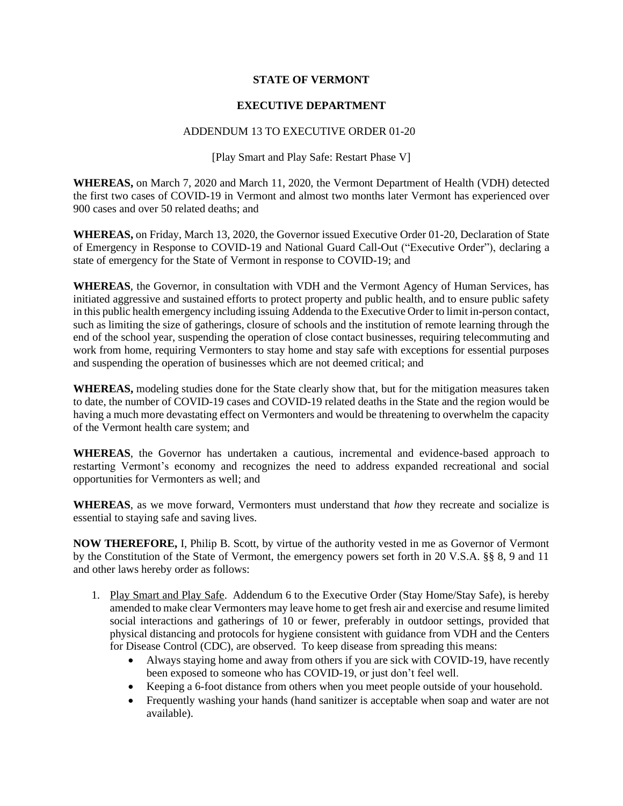## **STATE OF VERMONT**

## **EXECUTIVE DEPARTMENT**

## ADDENDUM 13 TO EXECUTIVE ORDER 01-20

[Play Smart and Play Safe: Restart Phase V]

**WHEREAS,** on March 7, 2020 and March 11, 2020, the Vermont Department of Health (VDH) detected the first two cases of COVID-19 in Vermont and almost two months later Vermont has experienced over 900 cases and over 50 related deaths; and

**WHEREAS,** on Friday, March 13, 2020, the Governor issued Executive Order 01-20, Declaration of State of Emergency in Response to COVID-19 and National Guard Call-Out ("Executive Order"), declaring a state of emergency for the State of Vermont in response to COVID-19; and

**WHEREAS**, the Governor, in consultation with VDH and the Vermont Agency of Human Services, has initiated aggressive and sustained efforts to protect property and public health, and to ensure public safety in this public health emergency including issuing Addenda to the Executive Order to limit in-person contact, such as limiting the size of gatherings, closure of schools and the institution of remote learning through the end of the school year, suspending the operation of close contact businesses, requiring telecommuting and work from home, requiring Vermonters to stay home and stay safe with exceptions for essential purposes and suspending the operation of businesses which are not deemed critical; and

**WHEREAS,** modeling studies done for the State clearly show that, but for the mitigation measures taken to date, the number of COVID-19 cases and COVID-19 related deaths in the State and the region would be having a much more devastating effect on Vermonters and would be threatening to overwhelm the capacity of the Vermont health care system; and

**WHEREAS**, the Governor has undertaken a cautious, incremental and evidence-based approach to restarting Vermont's economy and recognizes the need to address expanded recreational and social opportunities for Vermonters as well; and

**WHEREAS**, as we move forward, Vermonters must understand that *how* they recreate and socialize is essential to staying safe and saving lives.

**NOW THEREFORE,** I, Philip B. Scott, by virtue of the authority vested in me as Governor of Vermont by the Constitution of the State of Vermont, the emergency powers set forth in 20 V.S.A. §§ 8, 9 and 11 and other laws hereby order as follows:

- 1. Play Smart and Play Safe. Addendum 6 to the Executive Order (Stay Home/Stay Safe), is hereby amended to make clear Vermonters may leave home to get fresh air and exercise and resume limited social interactions and gatherings of 10 or fewer, preferably in outdoor settings, provided that physical distancing and protocols for hygiene consistent with guidance from VDH and the Centers for Disease Control (CDC), are observed. To keep disease from spreading this means:
	- Always staying home and away from others if you are sick with COVID-19, have recently been exposed to someone who has COVID-19, or just don't feel well.
	- Keeping a 6-foot distance from others when you meet people outside of your household.
	- Frequently washing your hands (hand sanitizer is acceptable when soap and water are not available).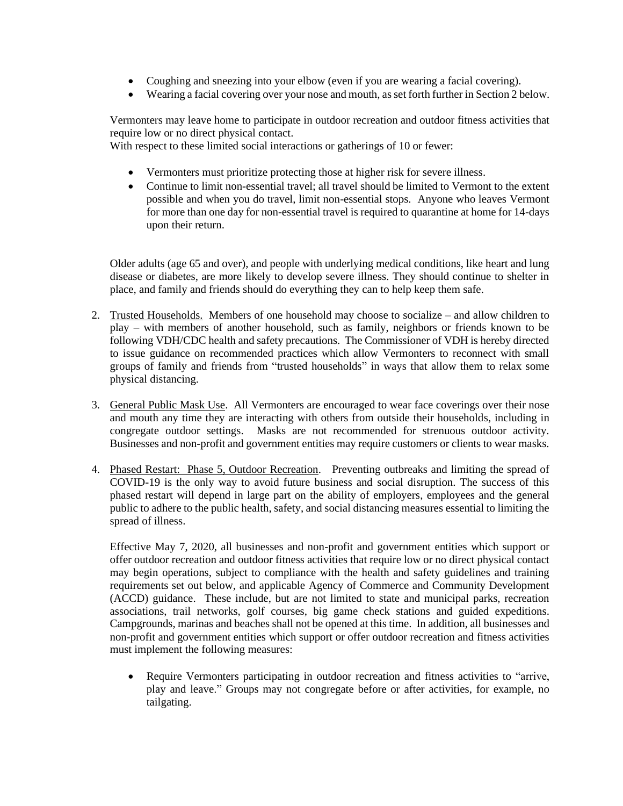- Coughing and sneezing into your elbow (even if you are wearing a facial covering).
- Wearing a facial covering over your nose and mouth, as set forth further in Section 2 below.

Vermonters may leave home to participate in outdoor recreation and outdoor fitness activities that require low or no direct physical contact.

With respect to these limited social interactions or gatherings of 10 or fewer:

- Vermonters must prioritize protecting those at higher risk for severe illness.
- Continue to limit non-essential travel; all travel should be limited to Vermont to the extent possible and when you do travel, limit non-essential stops. Anyone who leaves Vermont for more than one day for non-essential travel is required to quarantine at home for 14-days upon their return.

Older adults (age 65 and over), and people with underlying medical conditions, like heart and lung disease or diabetes, are more likely to develop severe illness. They should continue to shelter in place, and family and friends should do everything they can to help keep them safe.

- 2. Trusted Households. Members of one household may choose to socialize and allow children to play – with members of another household, such as family, neighbors or friends known to be following VDH/CDC health and safety precautions. The Commissioner of VDH is hereby directed to issue guidance on recommended practices which allow Vermonters to reconnect with small groups of family and friends from "trusted households" in ways that allow them to relax some physical distancing.
- 3. General Public Mask Use. All Vermonters are encouraged to wear face coverings over their nose and mouth any time they are interacting with others from outside their households, including in congregate outdoor settings. Masks are not recommended for strenuous outdoor activity. Businesses and non-profit and government entities may require customers or clients to wear masks.
- 4. Phased Restart: Phase 5, Outdoor Recreation. Preventing outbreaks and limiting the spread of COVID-19 is the only way to avoid future business and social disruption. The success of this phased restart will depend in large part on the ability of employers, employees and the general public to adhere to the public health, safety, and social distancing measures essential to limiting the spread of illness.

Effective May 7, 2020, all businesses and non-profit and government entities which support or offer outdoor recreation and outdoor fitness activities that require low or no direct physical contact may begin operations, subject to compliance with the health and safety guidelines and training requirements set out below, and applicable Agency of Commerce and Community Development (ACCD) guidance. These include, but are not limited to state and municipal parks, recreation associations, trail networks, golf courses, big game check stations and guided expeditions. Campgrounds, marinas and beaches shall not be opened at this time. In addition, all businesses and non-profit and government entities which support or offer outdoor recreation and fitness activities must implement the following measures:

• Require Vermonters participating in outdoor recreation and fitness activities to "arrive, play and leave." Groups may not congregate before or after activities, for example, no tailgating.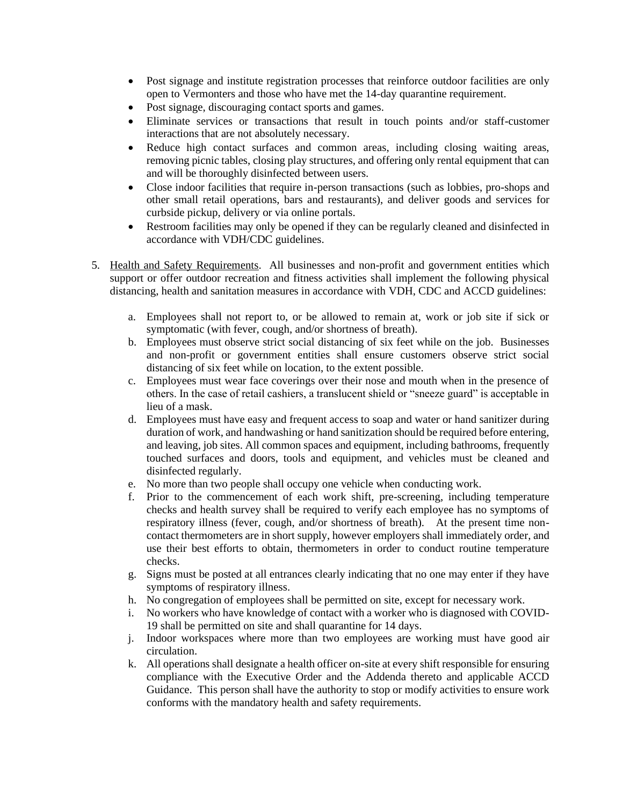- Post signage and institute registration processes that reinforce outdoor facilities are only open to Vermonters and those who have met the 14-day quarantine requirement.
- Post signage, discouraging contact sports and games.
- Eliminate services or transactions that result in touch points and/or staff-customer interactions that are not absolutely necessary.
- Reduce high contact surfaces and common areas, including closing waiting areas, removing picnic tables, closing play structures, and offering only rental equipment that can and will be thoroughly disinfected between users.
- Close indoor facilities that require in-person transactions (such as lobbies, pro-shops and other small retail operations, bars and restaurants), and deliver goods and services for curbside pickup, delivery or via online portals.
- Restroom facilities may only be opened if they can be regularly cleaned and disinfected in accordance with VDH/CDC guidelines.
- 5. Health and Safety Requirements. All businesses and non-profit and government entities which support or offer outdoor recreation and fitness activities shall implement the following physical distancing, health and sanitation measures in accordance with VDH, CDC and ACCD guidelines:
	- a. Employees shall not report to, or be allowed to remain at, work or job site if sick or symptomatic (with fever, cough, and/or shortness of breath).
	- b. Employees must observe strict social distancing of six feet while on the job. Businesses and non-profit or government entities shall ensure customers observe strict social distancing of six feet while on location, to the extent possible.
	- c. Employees must wear face coverings over their nose and mouth when in the presence of others. In the case of retail cashiers, a translucent shield or "sneeze guard" is acceptable in lieu of a mask.
	- d. Employees must have easy and frequent access to soap and water or hand sanitizer during duration of work, and handwashing or hand sanitization should be required before entering, and leaving, job sites. All common spaces and equipment, including bathrooms, frequently touched surfaces and doors, tools and equipment, and vehicles must be cleaned and disinfected regularly.
	- e. No more than two people shall occupy one vehicle when conducting work.
	- f. Prior to the commencement of each work shift, pre-screening, including temperature checks and health survey shall be required to verify each employee has no symptoms of respiratory illness (fever, cough, and/or shortness of breath). At the present time noncontact thermometers are in short supply, however employers shall immediately order, and use their best efforts to obtain, thermometers in order to conduct routine temperature checks.
	- g. Signs must be posted at all entrances clearly indicating that no one may enter if they have symptoms of respiratory illness.
	- h. No congregation of employees shall be permitted on site, except for necessary work.
	- i. No workers who have knowledge of contact with a worker who is diagnosed with COVID-19 shall be permitted on site and shall quarantine for 14 days.
	- j. Indoor workspaces where more than two employees are working must have good air circulation.
	- k. All operations shall designate a health officer on-site at every shift responsible for ensuring compliance with the Executive Order and the Addenda thereto and applicable ACCD Guidance. This person shall have the authority to stop or modify activities to ensure work conforms with the mandatory health and safety requirements.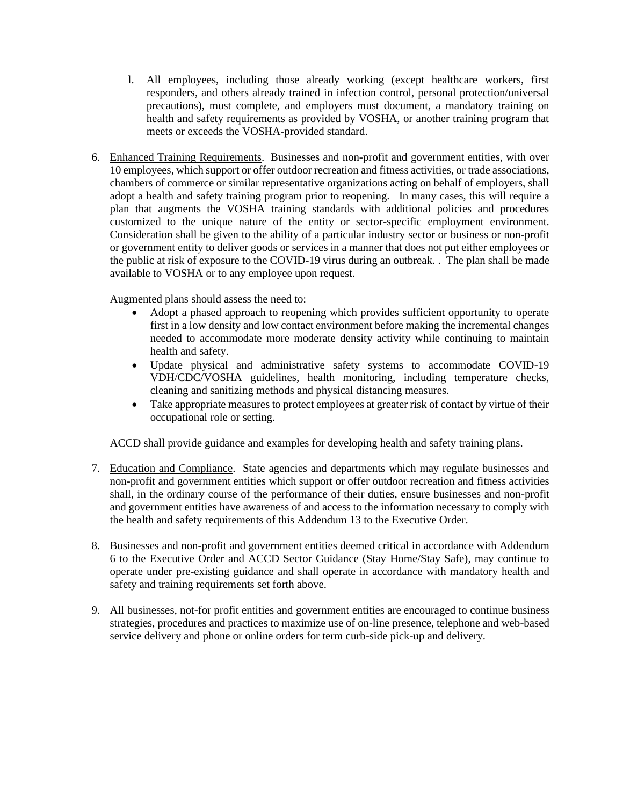- l. All employees, including those already working (except healthcare workers, first responders, and others already trained in infection control, personal protection/universal precautions), must complete, and employers must document, a mandatory training on health and safety requirements as provided by VOSHA, or another training program that meets or exceeds the VOSHA-provided standard.
- 6. Enhanced Training Requirements. Businesses and non-profit and government entities, with over 10 employees, which support or offer outdoor recreation and fitness activities, or trade associations, chambers of commerce or similar representative organizations acting on behalf of employers, shall adopt a health and safety training program prior to reopening. In many cases, this will require a plan that augments the VOSHA training standards with additional policies and procedures customized to the unique nature of the entity or sector-specific employment environment. Consideration shall be given to the ability of a particular industry sector or business or non-profit or government entity to deliver goods or services in a manner that does not put either employees or the public at risk of exposure to the COVID-19 virus during an outbreak. . The plan shall be made available to VOSHA or to any employee upon request.

Augmented plans should assess the need to:

- Adopt a phased approach to reopening which provides sufficient opportunity to operate first in a low density and low contact environment before making the incremental changes needed to accommodate more moderate density activity while continuing to maintain health and safety.
- Update physical and administrative safety systems to accommodate COVID-19 VDH/CDC/VOSHA guidelines, health monitoring, including temperature checks, cleaning and sanitizing methods and physical distancing measures.
- Take appropriate measures to protect employees at greater risk of contact by virtue of their occupational role or setting.

ACCD shall provide guidance and examples for developing health and safety training plans.

- 7. Education and Compliance. State agencies and departments which may regulate businesses and non-profit and government entities which support or offer outdoor recreation and fitness activities shall, in the ordinary course of the performance of their duties, ensure businesses and non-profit and government entities have awareness of and access to the information necessary to comply with the health and safety requirements of this Addendum 13 to the Executive Order.
- 8. Businesses and non-profit and government entities deemed critical in accordance with Addendum 6 to the Executive Order and ACCD Sector Guidance (Stay Home/Stay Safe), may continue to operate under pre-existing guidance and shall operate in accordance with mandatory health and safety and training requirements set forth above.
- 9. All businesses, not-for profit entities and government entities are encouraged to continue business strategies, procedures and practices to maximize use of on-line presence, telephone and web-based service delivery and phone or online orders for term curb-side pick-up and delivery.